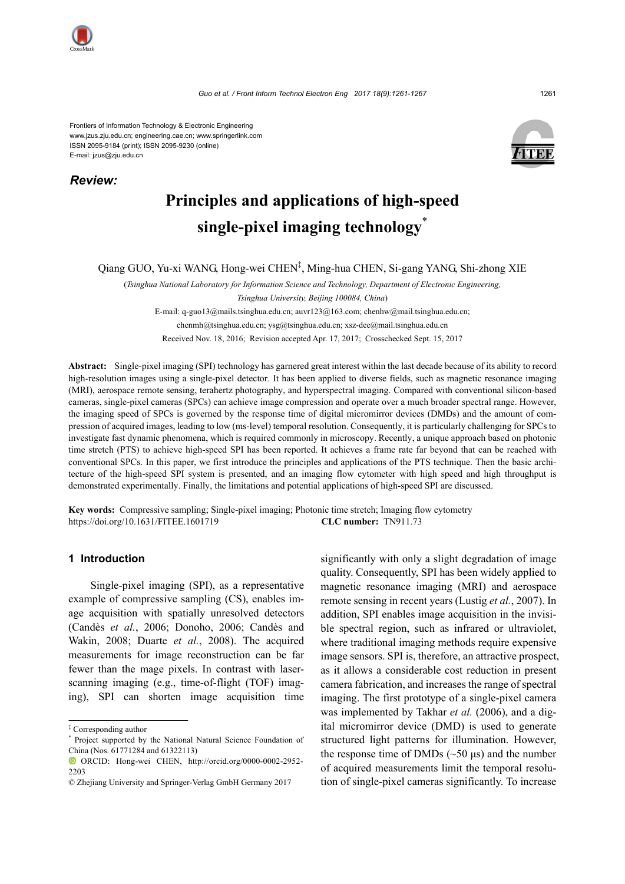

*Review:*

Frontiers of Information Technology & Electronic Engineering www.jzus.zju.edu.cn; engineering.cae.cn; www.springerlink.com ISSN 2095-9184 (print); ISSN 2095-9230 (online) E-mail: jzus@zju.edu.cn



# **Principles and applications of high-speed single-pixel imaging technology**\*

Qiang GUO, Yu-xi WANG, Hong-wei CHEN‡ , Ming-hua CHEN, Si-gang YANG, Shi-zhong XIE

(*Tsinghua National Laboratory for Information Science and Technology, Department of Electronic Engineering,* 

E-mail: q-guo13@mails.tsinghua.edu.cn; auvr123@163.com; chenhw@mail.tsinghua.edu.cn; chenmh@tsinghua.edu.cn; ysg@tsinghua.edu.cn; xsz-dee@mail.tsinghua.edu.cn

Received Nov. 18, 2016; Revision accepted Apr. 17, 2017; Crosschecked Sept. 15, 2017

**Abstract:** Single-pixel imaging (SPI) technology has garnered great interest within the last decade because of its ability to record high-resolution images using a single-pixel detector. It has been applied to diverse fields, such as magnetic resonance imaging (MRI), aerospace remote sensing, terahertz photography, and hyperspectral imaging. Compared with conventional silicon-based cameras, single-pixel cameras (SPCs) can achieve image compression and operate over a much broader spectral range. However, the imaging speed of SPCs is governed by the response time of digital micromirror devices (DMDs) and the amount of compression of acquired images, leading to low (ms-level) temporal resolution. Consequently, it is particularly challenging for SPCs to investigate fast dynamic phenomena, which is required commonly in microscopy. Recently, a unique approach based on photonic time stretch (PTS) to achieve high-speed SPI has been reported. It achieves a frame rate far beyond that can be reached with conventional SPCs. In this paper, we first introduce the principles and applications of the PTS technique. Then the basic architecture of the high-speed SPI system is presented, and an imaging flow cytometer with high speed and high throughput is demonstrated experimentally. Finally, the limitations and potential applications of high-speed SPI are discussed.

**Key words:** Compressive sampling; Single-pixel imaging; Photonic time stretch; Imaging flow cytometry https://doi.org/10.1631/FITEE.1601719 **CLC number:** TN911.73

# **1 Introduction**

Single-pixel imaging (SPI), as a representative example of compressive sampling (CS), enables image acquisition with spatially unresolved detectors (Candès *et al.*, 2006; Donoho, 2006; Candès and Wakin, 2008; Duarte *et al.*, 2008). The acquired measurements for image reconstruction can be far fewer than the mage pixels. In contrast with laserscanning imaging (e.g., time-of-flight (TOF) imaging), SPI can shorten image acquisition time

significantly with only a slight degradation of image quality. Consequently, SPI has been widely applied to magnetic resonance imaging (MRI) and aerospace remote sensing in recent years (Lustig *et al.*, 2007). In addition, SPI enables image acquisition in the invisible spectral region, such as infrared or ultraviolet, where traditional imaging methods require expensive image sensors. SPI is, therefore, an attractive prospect, as it allows a considerable cost reduction in present camera fabrication, and increases the range of spectral imaging. The first prototype of a single-pixel camera was implemented by Takhar *et al.* (2006), and a digital micromirror device (DMD) is used to generate structured light patterns for illumination. However, the response time of DMDs  $(\sim 50 \text{ \mu s})$  and the number of acquired measurements limit the temporal resolution of single-pixel cameras significantly. To increase

*Tsinghua University, Beijing 100084, China*)

<sup>‡</sup> Corresponding author

<sup>\*</sup> Project supported by the National Natural Science Foundation of China (Nos. 61771284 and 61322113)

ORCID: Hong-wei CHEN, http://orcid.org/0000-0002-2952- 2203

<sup>©</sup> Zhejiang University and Springer-Verlag GmbH Germany 2017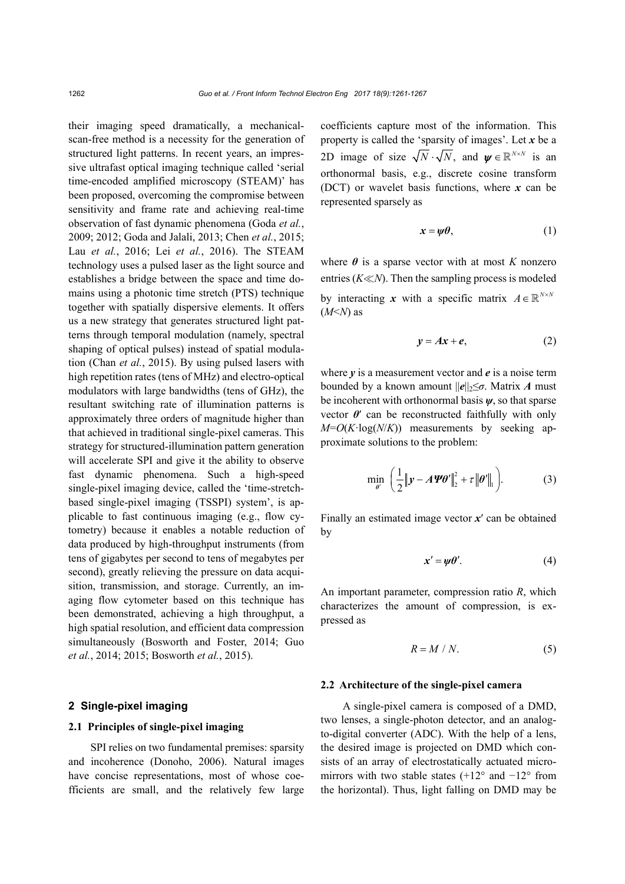their imaging speed dramatically, a mechanicalscan-free method is a necessity for the generation of structured light patterns. In recent years, an impressive ultrafast optical imaging technique called 'serial time-encoded amplified microscopy (STEAM)' has been proposed, overcoming the compromise between sensitivity and frame rate and achieving real-time observation of fast dynamic phenomena (Goda *et al.*, 2009; 2012; Goda and Jalali, 2013; Chen *et al.*, 2015; Lau *et al.*, 2016; Lei *et al.*, 2016). The STEAM technology uses a pulsed laser as the light source and establishes a bridge between the space and time domains using a photonic time stretch (PTS) technique together with spatially dispersive elements. It offers us a new strategy that generates structured light patterns through temporal modulation (namely, spectral shaping of optical pulses) instead of spatial modulation (Chan *et al.*, 2015). By using pulsed lasers with high repetition rates (tens of MHz) and electro-optical modulators with large bandwidths (tens of GHz), the resultant switching rate of illumination patterns is approximately three orders of magnitude higher than that achieved in traditional single-pixel cameras. This strategy for structured-illumination pattern generation will accelerate SPI and give it the ability to observe fast dynamic phenomena. Such a high-speed single-pixel imaging device, called the 'time-stretchbased single-pixel imaging (TSSPI) system', is applicable to fast continuous imaging (e.g., flow cytometry) because it enables a notable reduction of data produced by high-throughput instruments (from tens of gigabytes per second to tens of megabytes per second), greatly relieving the pressure on data acquisition, transmission, and storage. Currently, an imaging flow cytometer based on this technique has been demonstrated, achieving a high throughput, a high spatial resolution, and efficient data compression simultaneously (Bosworth and Foster, 2014; Guo *et al.*, 2014; 2015; Bosworth *et al.*, 2015).

## **2 Single-pixel imaging**

#### **2.1 Principles of single-pixel imaging**

SPI relies on two fundamental premises: sparsity and incoherence (Donoho, 2006). Natural images have concise representations, most of whose coefficients are small, and the relatively few large coefficients capture most of the information. This property is called the 'sparsity of images'. Let *x* be a 2D image of size  $\sqrt{N} \cdot \sqrt{N}$ , and  $\psi \in \mathbb{R}^{N \times N}$  is an orthonormal basis, e.g., discrete cosine transform (DCT) or wavelet basis functions, where *x* can be represented sparsely as

$$
x = \psi \theta, \tag{1}
$$

where  $\theta$  is a sparse vector with at most *K* nonzero entries  $(K \ll N)$ . Then the sampling process is modeled by interacting *x* with a specific matrix  $A \in \mathbb{R}^{N \times N}$  $(M<sub>2</sub>N)$  as

$$
y = Ax + e, \tag{2}
$$

where *y* is a measurement vector and *e* is a noise term bounded by a known amount  $||e||_2 \leq \sigma$ . Matrix *A* must be incoherent with orthonormal basis *ψ*, so that sparse vector  $\theta$ <sup>'</sup> can be reconstructed faithfully with only *M*=*O*(*K*·log(*N*/*K*)) measurements by seeking approximate solutions to the problem:

$$
\min_{\theta'} \left( \frac{1}{2} \|\mathbf{y} - A\mathbf{\Psi}\theta'\|_2^2 + \tau \|\theta'\|_1 \right). \tag{3}
$$

Finally an estimated image vector *x*′ can be obtained by

$$
x' = \psi \theta'. \tag{4}
$$

An important parameter, compression ratio *R*, which characterizes the amount of compression, is expressed as

$$
R = M / N. \tag{5}
$$

#### **2.2 Architecture of the single-pixel camera**

A single-pixel camera is composed of a DMD, two lenses, a single-photon detector, and an analogto-digital converter (ADC). With the help of a lens, the desired image is projected on DMD which consists of an array of electrostatically actuated micromirrors with two stable states (+12° and −12° from the horizontal). Thus, light falling on DMD may be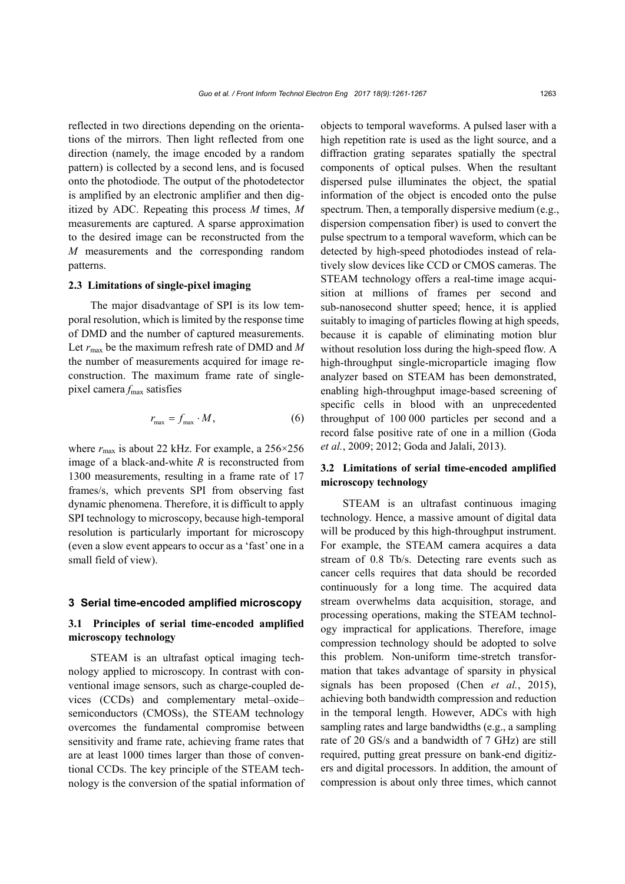reflected in two directions depending on the orientations of the mirrors. Then light reflected from one direction (namely, the image encoded by a random pattern) is collected by a second lens, and is focused onto the photodiode. The output of the photodetector is amplified by an electronic amplifier and then digitized by ADC. Repeating this process *M* times, *M* measurements are captured. A sparse approximation to the desired image can be reconstructed from the *M* measurements and the corresponding random patterns.

## **2.3 Limitations of single-pixel imaging**

The major disadvantage of SPI is its low temporal resolution, which is limited by the response time of DMD and the number of captured measurements. Let *r*max be the maximum refresh rate of DMD and *M* the number of measurements acquired for image reconstruction. The maximum frame rate of singlepixel camera  $f_{\text{max}}$  satisfies

$$
r_{\text{max}} = f_{\text{max}} \cdot M, \tag{6}
$$

where  $r_{\text{max}}$  is about 22 kHz. For example, a  $256 \times 256$ image of a black-and-white *R* is reconstructed from 1300 measurements, resulting in a frame rate of 17 frames/s, which prevents SPI from observing fast dynamic phenomena. Therefore, it is difficult to apply SPI technology to microscopy, because high-temporal resolution is particularly important for microscopy (even a slow event appears to occur as a 'fast' one in a small field of view).

## **3 Serial time-encoded amplified microscopy**

## **3.1 Principles of serial time-encoded amplified microscopy technology**

STEAM is an ultrafast optical imaging technology applied to microscopy. In contrast with conventional image sensors, such as charge-coupled devices (CCDs) and complementary metal–oxide– semiconductors (CMOSs), the STEAM technology overcomes the fundamental compromise between sensitivity and frame rate, achieving frame rates that are at least 1000 times larger than those of conventional CCDs. The key principle of the STEAM technology is the conversion of the spatial information of objects to temporal waveforms. A pulsed laser with a high repetition rate is used as the light source, and a diffraction grating separates spatially the spectral components of optical pulses. When the resultant dispersed pulse illuminates the object, the spatial information of the object is encoded onto the pulse spectrum. Then, a temporally dispersive medium (e.g., dispersion compensation fiber) is used to convert the pulse spectrum to a temporal waveform, which can be detected by high-speed photodiodes instead of relatively slow devices like CCD or CMOS cameras. The STEAM technology offers a real-time image acquisition at millions of frames per second and sub-nanosecond shutter speed; hence, it is applied suitably to imaging of particles flowing at high speeds, because it is capable of eliminating motion blur without resolution loss during the high-speed flow. A high-throughput single-microparticle imaging flow analyzer based on STEAM has been demonstrated, enabling high-throughput image-based screening of specific cells in blood with an unprecedented throughput of 100 000 particles per second and a record false positive rate of one in a million (Goda *et al.*, 2009; 2012; Goda and Jalali, 2013).

# **3.2 Limitations of serial time-encoded amplified microscopy technology**

STEAM is an ultrafast continuous imaging technology. Hence, a massive amount of digital data will be produced by this high-throughput instrument. For example, the STEAM camera acquires a data stream of 0.8 Tb/s. Detecting rare events such as cancer cells requires that data should be recorded continuously for a long time. The acquired data stream overwhelms data acquisition, storage, and processing operations, making the STEAM technology impractical for applications. Therefore, image compression technology should be adopted to solve this problem. Non-uniform time-stretch transformation that takes advantage of sparsity in physical signals has been proposed (Chen *et al.*, 2015), achieving both bandwidth compression and reduction in the temporal length. However, ADCs with high sampling rates and large bandwidths (e.g., a sampling rate of 20 GS/s and a bandwidth of 7 GHz) are still required, putting great pressure on bank-end digitizers and digital processors. In addition, the amount of compression is about only three times, which cannot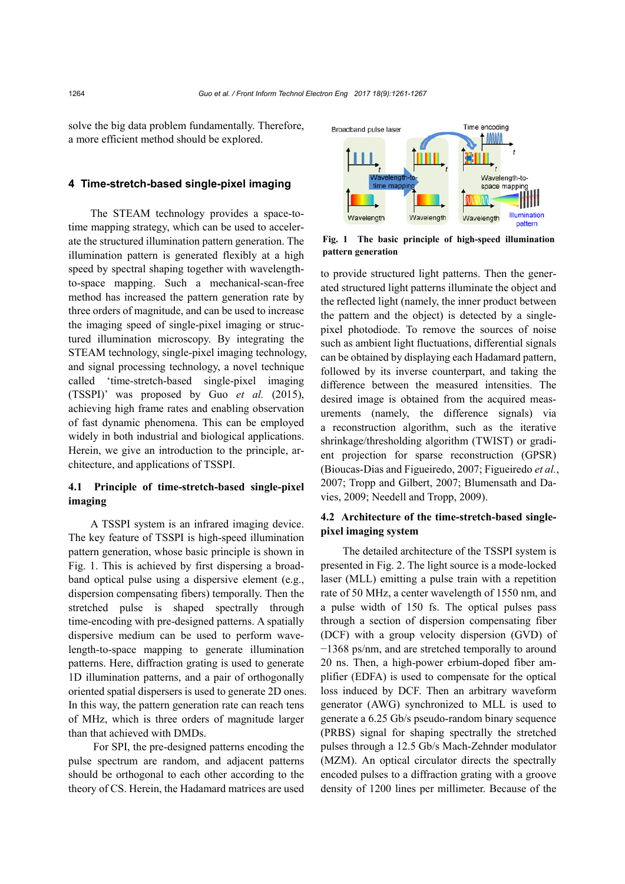solve the big data problem fundamentally. Therefore, a more efficient method should be explored.

#### **4 Time-stretch-based single-pixel imaging**

The STEAM technology provides a space-totime mapping strategy, which can be used to accelerate the structured illumination pattern generation. The illumination pattern is generated flexibly at a high speed by spectral shaping together with wavelengthto-space mapping. Such a mechanical-scan-free method has increased the pattern generation rate by three orders of magnitude, and can be used to increase the imaging speed of single-pixel imaging or structured illumination microscopy. By integrating the STEAM technology, single-pixel imaging technology, and signal processing technology, a novel technique called 'time-stretch-based single-pixel imaging (TSSPI)' was proposed by Guo *et al.* (2015), achieving high frame rates and enabling observation of fast dynamic phenomena. This can be employed widely in both industrial and biological applications. Herein, we give an introduction to the principle, architecture, and applications of TSSPI.

# **4.1 Principle of time-stretch-based single-pixel imaging**

A TSSPI system is an infrared imaging device. The key feature of TSSPI is high-speed illumination pattern generation, whose basic principle is shown in Fig. 1. This is achieved by first dispersing a broadband optical pulse using a dispersive element (e.g., dispersion compensating fibers) temporally. Then the stretched pulse is shaped spectrally through time-encoding with pre-designed patterns. A spatially dispersive medium can be used to perform wavelength-to-space mapping to generate illumination patterns. Here, diffraction grating is used to generate 1D illumination patterns, and a pair of orthogonally oriented spatial dispersers is used to generate 2D ones. In this way, the pattern generation rate can reach tens of MHz, which is three orders of magnitude larger than that achieved with DMDs.

For SPI, the pre-designed patterns encoding the pulse spectrum are random, and adjacent patterns should be orthogonal to each other according to the theory of CS. Herein, the Hadamard matrices are used



**Fig. 1 The basic principle of high-speed illumination pattern generation**

to provide structured light patterns. Then the generated structured light patterns illuminate the object and the reflected light (namely, the inner product between the pattern and the object) is detected by a singlepixel photodiode. To remove the sources of noise such as ambient light fluctuations, differential signals can be obtained by displaying each Hadamard pattern, followed by its inverse counterpart, and taking the difference between the measured intensities. The desired image is obtained from the acquired measurements (namely, the difference signals) via a reconstruction algorithm, such as the iterative shrinkage/thresholding algorithm (TWIST) or gradient projection for sparse reconstruction (GPSR) (Bioucas-Dias and Figueiredo, 2007; Figueiredo *et al.*, 2007; Tropp and Gilbert, 2007; Blumensath and Davies, 2009; Needell and Tropp, 2009).

## **4.2 Architecture of the time-stretch-based singlepixel imaging system**

The detailed architecture of the TSSPI system is presented in Fig. 2. The light source is a mode-locked laser (MLL) emitting a pulse train with a repetition rate of 50 MHz, a center wavelength of 1550 nm, and a pulse width of 150 fs. The optical pulses pass through a section of dispersion compensating fiber (DCF) with a group velocity dispersion (GVD) of −1368 ps/nm, and are stretched temporally to around 20 ns. Then, a high-power erbium-doped fiber amplifier (EDFA) is used to compensate for the optical loss induced by DCF. Then an arbitrary waveform generator (AWG) synchronized to MLL is used to generate a 6.25 Gb/s pseudo-random binary sequence (PRBS) signal for shaping spectrally the stretched pulses through a 12.5 Gb/s Mach-Zehnder modulator (MZM). An optical circulator directs the spectrally encoded pulses to a diffraction grating with a groove density of 1200 lines per millimeter. Because of the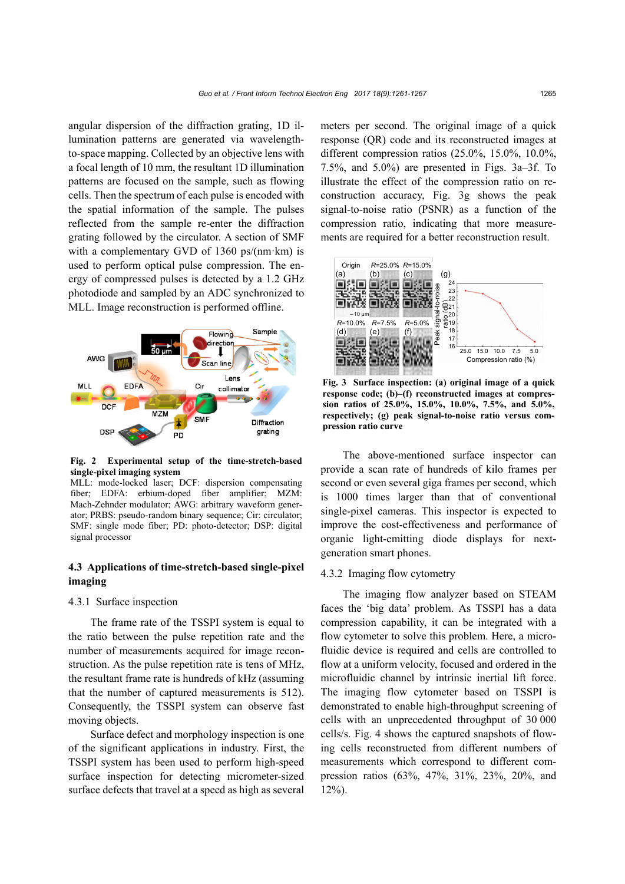angular dispersion of the diffraction grating, 1D illumination patterns are generated via wavelengthto-space mapping. Collected by an objective lens with a focal length of 10 mm, the resultant 1D illumination patterns are focused on the sample, such as flowing cells. Then the spectrum of each pulse is encoded with the spatial information of the sample. The pulses reflected from the sample re-enter the diffraction grating followed by the circulator. A section of SMF with a complementary GVD of 1360 ps/(nm·km) is used to perform optical pulse compression. The energy of compressed pulses is detected by a 1.2 GHz photodiode and sampled by an ADC synchronized to MLL. Image reconstruction is performed offline.



**Fig. 2 Experimental setup of the time-stretch-based single-pixel imaging system** 

MLL: mode-locked laser; DCF: dispersion compensating fiber; EDFA: erbium-doped fiber amplifier; MZM: Mach-Zehnder modulator; AWG: arbitrary waveform generator; PRBS: pseudo-random binary sequence; Cir: circulator; SMF: single mode fiber; PD: photo-detector; DSP: digital signal processor

# **4.3 Applications of time-stretch-based single-pixel imaging**

## 4.3.1 Surface inspection

The frame rate of the TSSPI system is equal to the ratio between the pulse repetition rate and the number of measurements acquired for image reconstruction. As the pulse repetition rate is tens of MHz, the resultant frame rate is hundreds of kHz (assuming that the number of captured measurements is 512). Consequently, the TSSPI system can observe fast moving objects.

Surface defect and morphology inspection is one of the significant applications in industry. First, the TSSPI system has been used to perform high-speed surface inspection for detecting micrometer-sized surface defects that travel at a speed as high as several

meters per second. The original image of a quick response (QR) code and its reconstructed images at different compression ratios (25.0%, 15.0%, 10.0%, 7.5%, and 5.0%) are presented in Figs. 3a–3f. To illustrate the effect of the compression ratio on reconstruction accuracy, Fig. 3g shows the peak signal-to-noise ratio (PSNR) as a function of the compression ratio, indicating that more measurements are required for a better reconstruction result.



**Fig. 3 Surface inspection: (a) original image of a quick response code; (b)–(f) reconstructed images at compression ratios of 25.0%, 15.0%, 10.0%, 7.5%, and 5.0%, respectively; (g) peak signal-to-noise ratio versus compression ratio curve**

The above-mentioned surface inspector can provide a scan rate of hundreds of kilo frames per second or even several giga frames per second, which is 1000 times larger than that of conventional single-pixel cameras. This inspector is expected to improve the cost-effectiveness and performance of organic light-emitting diode displays for nextgeneration smart phones.

#### 4.3.2 Imaging flow cytometry

The imaging flow analyzer based on STEAM faces the 'big data' problem. As TSSPI has a data compression capability, it can be integrated with a flow cytometer to solve this problem. Here, a microfluidic device is required and cells are controlled to flow at a uniform velocity, focused and ordered in the microfluidic channel by intrinsic inertial lift force. The imaging flow cytometer based on TSSPI is demonstrated to enable high-throughput screening of cells with an unprecedented throughput of 30 000 cells/s. Fig. 4 shows the captured snapshots of flowing cells reconstructed from different numbers of measurements which correspond to different compression ratios (63%, 47%, 31%, 23%, 20%, and  $12\%$ ).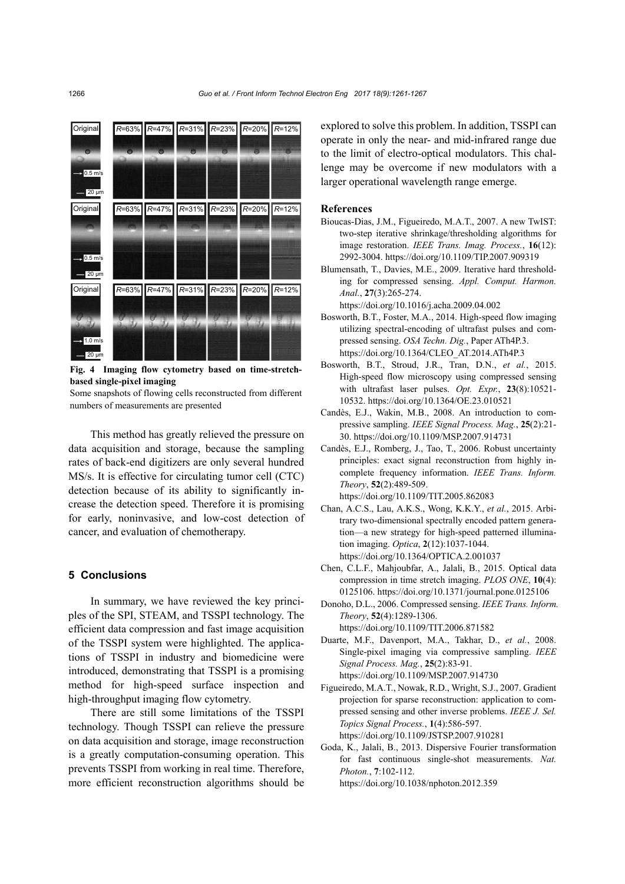

**Fig. 4 Imaging flow cytometry based on time-stretchbased single-pixel imaging** 

Some snapshots of flowing cells reconstructed from different numbers of measurements are presented

This method has greatly relieved the pressure on data acquisition and storage, because the sampling rates of back-end digitizers are only several hundred MS/s. It is effective for circulating tumor cell (CTC) detection because of its ability to significantly increase the detection speed. Therefore it is promising for early, noninvasive, and low-cost detection of cancer, and evaluation of chemotherapy.

## **5 Conclusions**

In summary, we have reviewed the key principles of the SPI, STEAM, and TSSPI technology. The efficient data compression and fast image acquisition of the TSSPI system were highlighted. The applications of TSSPI in industry and biomedicine were introduced, demonstrating that TSSPI is a promising method for high-speed surface inspection and high-throughput imaging flow cytometry.

There are still some limitations of the TSSPI technology. Though TSSPI can relieve the pressure on data acquisition and storage, image reconstruction is a greatly computation-consuming operation. This prevents TSSPI from working in real time. Therefore, more efficient reconstruction algorithms should be

explored to solve this problem. In addition, TSSPI can operate in only the near- and mid-infrared range due to the limit of electro-optical modulators. This challenge may be overcome if new modulators with a larger operational wavelength range emerge.

## **References**

- Bioucas-Dias, J.M., Figueiredo, M.A.T., 2007. A new TwIST: two-step iterative shrinkage/thresholding algorithms for image restoration. *IEEE Trans. Imag. Process.*, **16**(12): 2992-3004. [https://doi.org/10.1109/TIP.2007.909319](http://dx.doi.org/10.1109/TIP.2007.909319)
- Blumensath, T., Davies, M.E., 2009. Iterative hard thresholding for compressed sensing. *Appl. Comput. Harmon. Anal.*, **27**(3):265-274.

[https://doi.org/10.1016/j.acha.2009.04.002](http://dx.doi.org/10.1016/j.acha.2009.04.002) 

- Bosworth, B.T., Foster, M.A., 2014. High-speed flow imaging utilizing spectral-encoding of ultrafast pulses and compressed sensing. *OSA Techn. Dig.*, Paper ATh4P.3. [https://doi.org/10.1364/CLEO\\_AT.2014.ATh4P.3](http://dx.doi.org/10.1364/CLEO_AT.2014.ATh4P.3)
- Bosworth, B.T., Stroud, J.R., Tran, D.N., *et al.*, 2015. High-speed flow microscopy using compressed sensing with ultrafast laser pulses. *Opt. Expr.*, **23**(8):10521- 10532[. https://doi.org/10.1364/OE.23.010521](http://dx.doi.org/10.1364/OE.23.010521)
- Candès, E.J., Wakin, M.B., 2008. An introduction to compressive sampling. *IEEE Signal Process. Mag.*, **25**(2):21- 30. [https://doi.org/10.1109/MSP.2007.914731](http://dx.doi.org/10.1109/MSP.2007.914731)
- Candès, E.J., Romberg, J., Tao, T., 2006. Robust uncertainty principles: exact signal reconstruction from highly incomplete frequency information. *IEEE Trans. Inform. Theory*, **52**(2):489-509. https://doi.org/10.1109/TIT.2005.862083
- Chan, A.C.S., Lau, A.K.S., Wong, K.K.Y., *et al.*, 2015. Arbitrary two-dimensional spectrally encoded pattern generation—a new strategy for high-speed patterned illumination imaging. *Optica*, **2**(12):1037-1044. [https://doi.org/10.1364/OPTICA.2.001037](http://dx.doi.org/10.1364/OPTICA.2.001037)
- Chen, C.L.F., Mahjoubfar, A., Jalali, B., 2015. Optical data compression in time stretch imaging. *PLOS ONE*, **10**(4): 0125106[. https://doi.org/10.1371/journal.pone.0125106](http://dx.doi.org/10.1371/journal.pone.0125106)
- Donoho, D.L., 2006. Compressed sensing. *IEEE Trans. Inform. Theory*, **52**(4):1289-1306. [https://doi.org/10.1109/TIT.2006.871582](http://dx.doi.org/10.1109/TIT.2006.871582)
- Duarte, M.F., Davenport, M.A., Takhar, D., *et al.*, 2008. Single-pixel imaging via compressive sampling. *IEEE Signal Process. Mag.*, **25**(2):83-91. [https://doi.org/10.1109/MSP.2007.914730](http://dx.doi.org/10.1109/MSP.2007.914730)
- Figueiredo, M.A.T., Nowak, R.D., Wright, S.J., 2007. Gradient projection for sparse reconstruction: application to compressed sensing and other inverse problems. *IEEE J. Sel. Topics Signal Process.*, **1**(4):586-597. [https://doi.org/10.1109/JSTSP.2007.910281](http://dx.doi.org/10.1109/JSTSP.2007.910281)
- Goda, K., Jalali, B., 2013. Dispersive Fourier transformation for fast continuous single-shot measurements. *Nat. Photon.*, **7**:102-112. [https://doi.org/10.1038/nphoton.2012.359](http://dx.doi.org/10.1038/nphoton.2012.359)